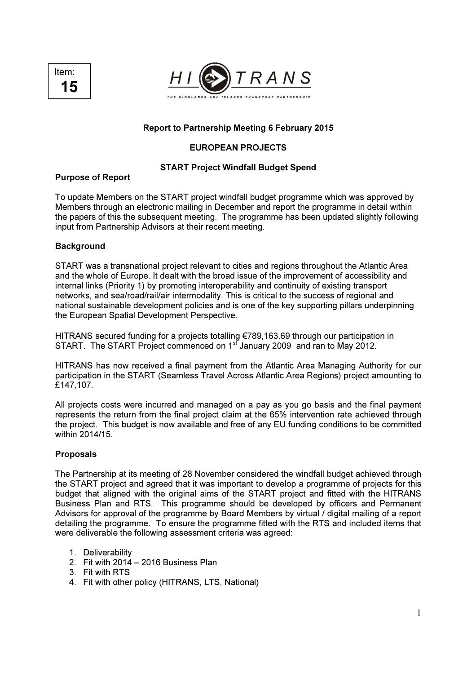



## Report to Partnership Meeting 6 February 2015

# EUROPEAN PROJECTS

#### START Project Windfall Budget Spend

## Purpose of Report

To update Members on the START project windfall budget programme which was approved by Members through an electronic mailing in December and report the programme in detail within the papers of this the subsequent meeting. The programme has been updated slightly following input from Partnership Advisors at their recent meeting.

## **Background**

START was a transnational project relevant to cities and regions throughout the Atlantic Area and the whole of Europe. It dealt with the broad issue of the improvement of accessibility and internal links (Priority 1) by promoting interoperability and continuity of existing transport networks, and sea/road/rail/air intermodality. This is critical to the success of regional and national sustainable development policies and is one of the key supporting pillars underpinning the European Spatial Development Perspective.

HITRANS secured funding for a projects totalling €789,163.69 through our participation in START. The START Project commenced on 1<sup>st</sup> January 2009 and ran to May 2012.

HITRANS has now received a final payment from the Atlantic Area Managing Authority for our participation in the START (Seamless Travel Across Atlantic Area Regions) project amounting to £147,107.

All projects costs were incurred and managed on a pay as you go basis and the final payment represents the return from the final project claim at the 65% intervention rate achieved through the project. This budget is now available and free of any EU funding conditions to be committed within 2014/15.

#### Proposals

The Partnership at its meeting of 28 November considered the windfall budget achieved through the START project and agreed that it was important to develop a programme of projects for this budget that aligned with the original aims of the START project and fitted with the HITRANS Business Plan and RTS. This programme should be developed by officers and Permanent Advisors for approval of the programme by Board Members by virtual / digital mailing of a report detailing the programme. To ensure the programme fitted with the RTS and included items that were deliverable the following assessment criteria was agreed:

- 1. Deliverability
- 2. Fit with 2014 2016 Business Plan
- 3. Fit with RTS
- 4. Fit with other policy (HITRANS, LTS, National)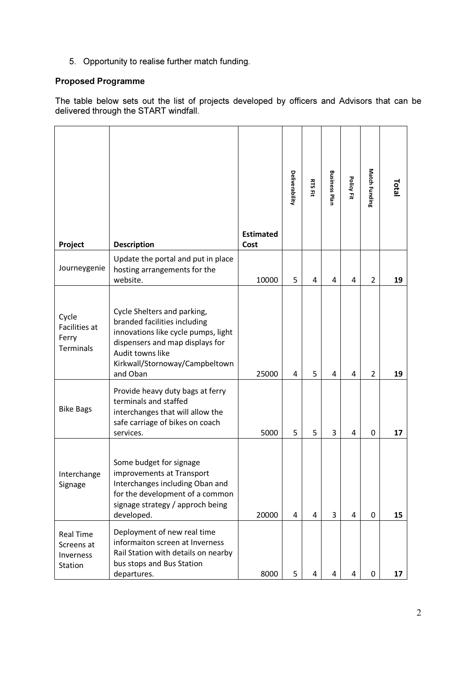5. Opportunity to realise further match funding.

# Proposed Programme

The table below sets out the list of projects developed by officers and Advisors that can be delivered through the START windfall.

|                                                        |                                                                                                                                                                                                         | <b>Estimated</b> | <b>Deliverability</b> | <b>RTS Fit</b> | <b>Business Plan</b> | Policy Fit | Match Funding  | <b>Total</b> |
|--------------------------------------------------------|---------------------------------------------------------------------------------------------------------------------------------------------------------------------------------------------------------|------------------|-----------------------|----------------|----------------------|------------|----------------|--------------|
| Project<br>Journeygenie                                | <b>Description</b><br>Update the portal and put in place<br>hosting arrangements for the<br>website.                                                                                                    | Cost<br>10000    | 5                     | 4              | 4                    | 4          | 2              | 19           |
| Cycle<br>Facilities at<br>Ferry<br><b>Terminals</b>    | Cycle Shelters and parking,<br>branded facilities including<br>innovations like cycle pumps, light<br>dispensers and map displays for<br>Audit towns like<br>Kirkwall/Stornoway/Campbeltown<br>and Oban | 25000            | 4                     | 5              | 4                    | 4          | $\overline{2}$ | 19           |
| <b>Bike Bags</b>                                       | Provide heavy duty bags at ferry<br>terminals and staffed<br>interchanges that will allow the<br>safe carriage of bikes on coach<br>services.                                                           | 5000             | 5                     | 5              | 3                    | 4          | $\Omega$       | 17           |
| Interchange<br>Signage                                 | Some budget for signage<br>improvements at Transport<br>Interchanges including Oban and<br>for the development of a common<br>signage strategy / approch being<br>developed.                            | 20000            | 4                     | 4              | 3                    | 4          | $\mathbf{0}$   | 15           |
| <b>Real Time</b><br>Screens at<br>Inverness<br>Station | Deployment of new real time<br>informaiton screen at Inverness<br>Rail Station with details on nearby<br>bus stops and Bus Station<br>departures.                                                       | 8000             | 5                     | 4              | 4                    | 4          | 0              | 17           |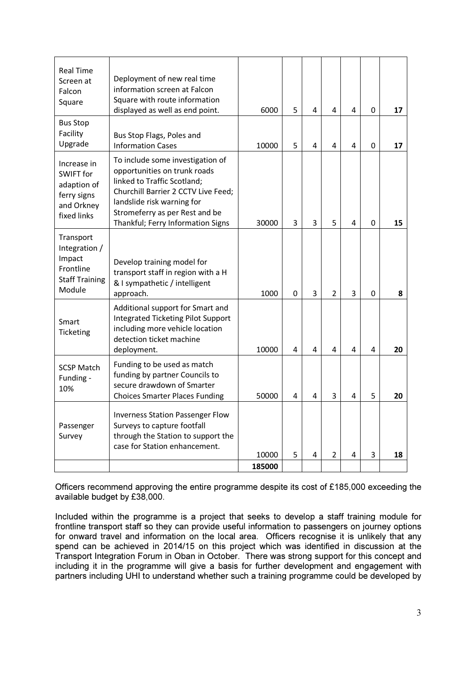|                                                                                            | case for Station enhancement.                                                                                                                                                                                                               |       | 5        |   |               |   | 3        |    |
|--------------------------------------------------------------------------------------------|---------------------------------------------------------------------------------------------------------------------------------------------------------------------------------------------------------------------------------------------|-------|----------|---|---------------|---|----------|----|
| Survey                                                                                     | through the Station to support the                                                                                                                                                                                                          |       |          |   |               |   |          |    |
| Passenger                                                                                  | <b>Inverness Station Passenger Flow</b><br>Surveys to capture footfall                                                                                                                                                                      |       |          |   |               |   |          |    |
| <b>SCSP Match</b><br>Funding -<br>10%                                                      | Funding to be used as match<br>funding by partner Councils to<br>secure drawdown of Smarter<br><b>Choices Smarter Places Funding</b>                                                                                                        | 50000 | 4        | 4 | 3             | 4 | 5        | 20 |
| Smart<br>Ticketing                                                                         | Additional support for Smart and<br><b>Integrated Ticketing Pilot Support</b><br>including more vehicle location<br>detection ticket machine<br>deployment.                                                                                 | 10000 | 4        | 4 | 4             | 4 | 4        | 20 |
| Transport<br>Integration /<br>Impact<br>Frontline<br><b>Staff Training</b><br>Module       | Develop training model for<br>transport staff in region with a H<br>& I sympathetic / intelligent<br>approach.                                                                                                                              | 1000  | $\Omega$ | 3 | $\mathcal{P}$ | 3 | $\Omega$ | 8  |
| Increase in<br><b>SWIFT</b> for<br>adaption of<br>ferry signs<br>and Orkney<br>fixed links | To include some investigation of<br>opportunities on trunk roads<br>linked to Traffic Scotland;<br>Churchill Barrier 2 CCTV Live Feed;<br>landslide risk warning for<br>Stromeferry as per Rest and be<br>Thankful; Ferry Information Signs | 30000 | 3        | 3 | 5             | 4 | 0        | 15 |
| <b>Bus Stop</b><br>Facility<br>Upgrade                                                     | Bus Stop Flags, Poles and<br><b>Information Cases</b>                                                                                                                                                                                       | 10000 | 5        | 4 | 4             | 4 | 0        | 17 |
| <b>Real Time</b><br>Screen at<br>Falcon<br>Square                                          | Deployment of new real time<br>information screen at Falcon<br>Square with route information<br>displayed as well as end point.                                                                                                             | 6000  | 5        | 4 | 4             | 4 | $\Omega$ | 17 |

Officers recommend approving the entire programme despite its cost of £185,000 exceeding the available budget by £38,000.

Included within the programme is a project that seeks to develop a staff training module for frontline transport staff so they can provide useful information to passengers on journey options for onward travel and information on the local area. Officers recognise it is unlikely that any spend can be achieved in 2014/15 on this project which was identified in discussion at the Transport Integration Forum in Oban in October. There was strong support for this concept and including it in the programme will give a basis for further development and engagement with partners including UHI to understand whether such a training programme could be developed by